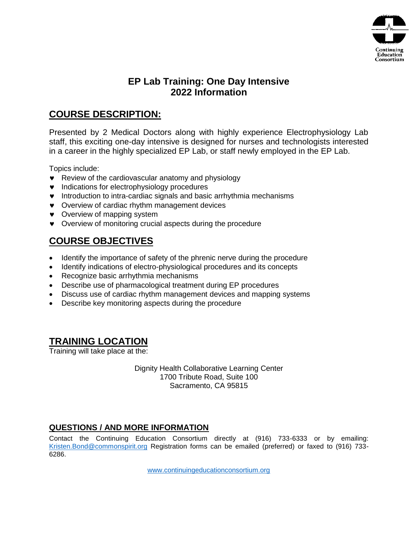

# **EP Lab Training: One Day Intensive 2022 Information**

## **COURSE DESCRIPTION:**

Presented by 2 Medical Doctors along with highly experience Electrophysiology Lab staff, this exciting one-day intensive is designed for nurses and technologists interested in a career in the highly specialized EP Lab, or staff newly employed in the EP Lab.

Topics include:

- Review of the cardiovascular anatomy and physiology
- $\bullet$  Indications for electrophysiology procedures
- **v** Introduction to intra-cardiac signals and basic arrhythmia mechanisms
- Overview of cardiac rhythm management devices
- Overview of mapping system
- Overview of monitoring crucial aspects during the procedure

# **COURSE OBJECTIVES**

- Identify the importance of safety of the phrenic nerve during the procedure
- Identify indications of electro-physiological procedures and its concepts
- Recognize basic arrhythmia mechanisms
- Describe use of pharmacological treatment during EP procedures
- Discuss use of cardiac rhythm management devices and mapping systems
- Describe key monitoring aspects during the procedure

## **TRAINING LOCATION**

Training will take place at the:

Dignity Health Collaborative Learning Center 1700 Tribute Road, Suite 100 Sacramento, CA 95815

#### **QUESTIONS / AND MORE INFORMATION**

Contact the Continuing Education Consortium directly at (916) 733-6333 or by emailing: [Kristen.Bond@commonspirit.org](mailto:Kristen.Bond@commonspirit.org) Registration forms can be emailed (preferred) or faxed to (916) 733-6286.

www.continuingeducationconsortium.org